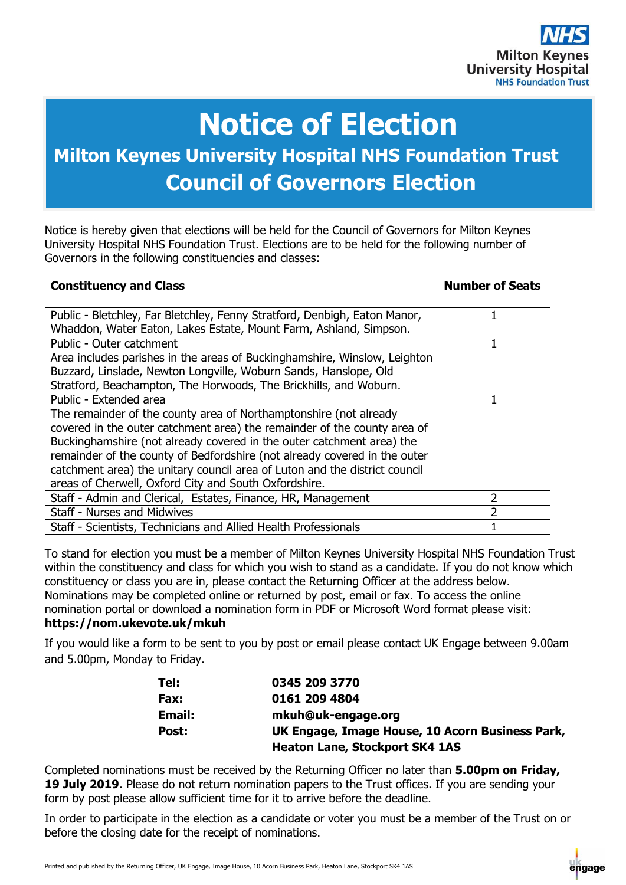

## **Notice of Election**

## **Milton Keynes University Hospital NHS Foundation Trust Council of Governors Election**

Notice is hereby given that elections will be held for the Council of Governors for Milton Keynes University Hospital NHS Foundation Trust. Elections are to be held for the following number of Governors in the following constituencies and classes:

| <b>Constituency and Class</b>                                              | <b>Number of Seats</b> |
|----------------------------------------------------------------------------|------------------------|
|                                                                            |                        |
| Public - Bletchley, Far Bletchley, Fenny Stratford, Denbigh, Eaton Manor,  |                        |
| Whaddon, Water Eaton, Lakes Estate, Mount Farm, Ashland, Simpson.          |                        |
| Public - Outer catchment                                                   |                        |
| Area includes parishes in the areas of Buckinghamshire, Winslow, Leighton  |                        |
| Buzzard, Linslade, Newton Longville, Woburn Sands, Hanslope, Old           |                        |
| Stratford, Beachampton, The Horwoods, The Brickhills, and Woburn.          |                        |
| Public - Extended area                                                     |                        |
| The remainder of the county area of Northamptonshire (not already          |                        |
| covered in the outer catchment area) the remainder of the county area of   |                        |
| Buckinghamshire (not already covered in the outer catchment area) the      |                        |
| remainder of the county of Bedfordshire (not already covered in the outer  |                        |
| catchment area) the unitary council area of Luton and the district council |                        |
| areas of Cherwell, Oxford City and South Oxfordshire.                      |                        |
| Staff - Admin and Clerical, Estates, Finance, HR, Management               | 2                      |
| <b>Staff - Nurses and Midwives</b>                                         | 2                      |
| Staff - Scientists, Technicians and Allied Health Professionals            |                        |

To stand for election you must be a member of Milton Keynes University Hospital NHS Foundation Trust within the constituency and class for which you wish to stand as a candidate. If you do not know which constituency or class you are in, please contact the Returning Officer at the address below. Nominations may be completed online or returned by post, email or fax. To access the online nomination portal or download a nomination form in PDF or Microsoft Word format please visit:

## **<https://nom.ukevote.uk/mkuh>**

If you would like a form to be sent to you by post or email please contact UK Engage between 9.00am and 5.00pm, Monday to Friday.

| Tel:   | 0345 209 3770                                   |
|--------|-------------------------------------------------|
| Fax:   | 0161 209 4804                                   |
| Email: | mkuh@uk-engage.org                              |
| Post:  | UK Engage, Image House, 10 Acorn Business Park, |
|        | <b>Heaton Lane, Stockport SK4 1AS</b>           |

Completed nominations must be received by the Returning Officer no later than **5.00pm on Friday,**  19 July 2019. Please do not return nomination papers to the Trust offices. If you are sending your form by post please allow sufficient time for it to arrive before the deadline.

In order to participate in the election as a candidate or voter you must be a member of the Trust on or before the closing date for the receipt of nominations.